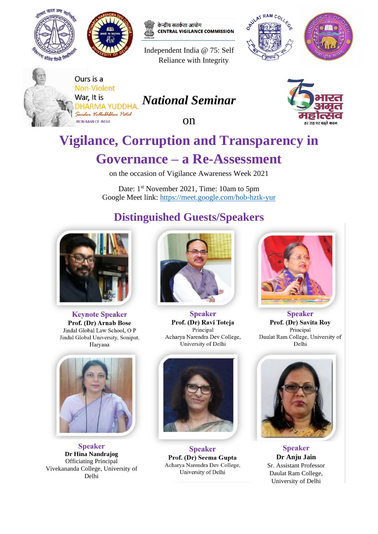



केन्द्रीय सतर्कता आयोग **CENTRAL VIGILANCE COMMISSION** 

Independent India @ 75: Self Reliance with Integrity







Ours is a **Non-Violent** War, It is DHARMA YUDDHA Sardar Vallaththai Patel

**IRON MAN OF INDIA** 

# *National Seminar*

on



# **Vigilance, Corruption and Transparency in**

# **Governance – a Re-Assessment**

on the occasion of Vigilance Awareness Week 2021

Date: 1<sup>st</sup> November 2021, Time: 10am to 5pm Google Meet link:<https://meet.google.com/hob-hztk-yur>

# **Distinguished Guests/Speakers**



**Keynote Speaker** Prof. (Dr) Arnab Bose Jindal Global Law School, O P Jindal Global University, Sonipat, Haryana



**Speaker Dr Hina Nandrajog** Officiating Principal Vivekananda College, University of Delhi



**Speaker** Prof. (Dr) Ravi Toteja Principal Acharya Narendra Dev College, University of Delhi



**Speaker** Prof. (Dr) Seema Gupta Acharya Narendra Dev College, University of Delhi



**Speaker** Prof. (Dr) Savita Roy Principal Daulat Ram College, University of Delhi



**Speaker Dr Anju Jain** Sr. Assistant Professor Daulat Ram College, University of Delhi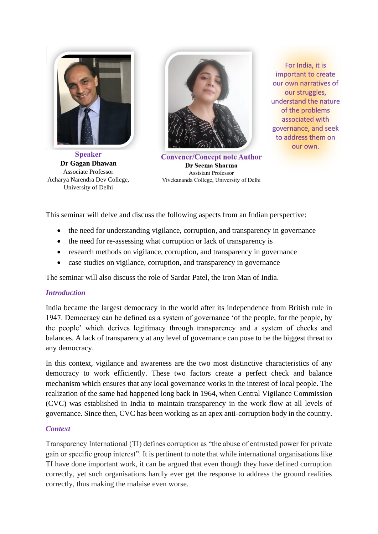

**Speaker Dr Gagan Dhawan** Associate Professor Acharya Narendra Dev College, University of Delhi



**Convener/Concept note Author** Dr Seema Sharma **Assistant Professor** Vivekananda College, University of Delhi

For India, it is important to create our own narratives of our struggles, understand the nature of the problems associated with governance, and seek to address them on our own.

This seminar will delve and discuss the following aspects from an Indian perspective:

- the need for understanding vigilance, corruption, and transparency in governance
- the need for re-assessing what corruption or lack of transparency is
- research methods on vigilance, corruption, and transparency in governance
- case studies on vigilance, corruption, and transparency in governance

The seminar will also discuss the role of Sardar Patel, the Iron Man of India.

# *Introduction*

India became the largest democracy in the world after its independence from British rule in 1947. Democracy can be defined as a system of governance 'of the people, for the people, by the people' which derives legitimacy through transparency and a system of checks and balances. A lack of transparency at any level of governance can pose to be the biggest threat to any democracy.

In this context, vigilance and awareness are the two most distinctive characteristics of any democracy to work efficiently. These two factors create a perfect check and balance mechanism which ensures that any local governance works in the interest of local people. The realization of the same had happened long back in 1964, when Central Vigilance Commission (CVC) was established in India to maintain transparency in the work flow at all levels of governance. Since then, CVC has been working as an apex anti-corruption body in the country.

# *Context*

Transparency International (TI) defines corruption as "the abuse of entrusted power for private gain or specific group interest". It is pertinent to note that while international organisations like TI have done important work, it can be argued that even though they have defined corruption correctly, yet such organisations hardly ever get the response to address the ground realities correctly, thus making the malaise even worse.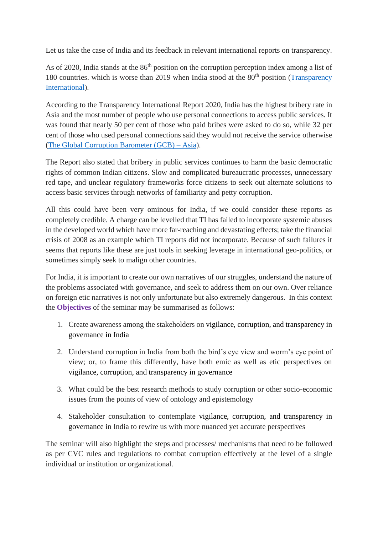Let us take the case of India and its feedback in relevant international reports on transparency.

As of 2020, India stands at the 86<sup>th</sup> position on the corruption perception index among a list of 180 countries. which is worse than 2019 when India stood at the  $80<sup>th</sup>$  position (Transparency [International\)](https://www.transparency.org/en/cpi/2020/index/nzl).

According to the Transparency International Report 2020, India has the highest bribery rate in Asia and the most number of people who use personal connections to access public services. It was found that nearly 50 per cent of those who paid bribes were asked to do so, while 32 per cent of those who used personal connections said they would not receive the service otherwise [\(The Global Corruption Barometer \(GCB\) –](https://images.transparencycdn.org/images/GCB_Asia_2020_Report_Web_final.pdf) Asia).

The Report also stated that bribery in public services continues to harm the basic democratic rights of common Indian citizens. Slow and complicated bureaucratic processes, unnecessary red tape, and unclear regulatory frameworks force citizens to seek out alternate solutions to access basic services through networks of familiarity and petty corruption.

All this could have been very ominous for India, if we could consider these reports as completely credible. A charge can be levelled that TI has failed to incorporate systemic abuses in the developed world which have more far-reaching and devastating effects; take the financial crisis of 2008 as an example which TI reports did not incorporate. Because of such failures it seems that reports like these are just tools in seeking leverage in international geo-politics, or sometimes simply seek to malign other countries.

For India, it is important to create our own narratives of our struggles, understand the nature of the problems associated with governance, and seek to address them on our own. Over reliance on foreign etic narratives is not only unfortunate but also extremely dangerous. In this context the **Objectives** of the seminar may be summarised as follows:

- 1. Create awareness among the stakeholders on vigilance, corruption, and transparency in governance in India
- 2. Understand corruption in India from both the bird's eye view and worm's eye point of view; or, to frame this differently, have both emic as well as etic perspectives on vigilance, corruption, and transparency in governance
- 3. What could be the best research methods to study corruption or other socio-economic issues from the points of view of ontology and epistemology
- 4. Stakeholder consultation to contemplate vigilance, corruption, and transparency in governance in India to rewire us with more nuanced yet accurate perspectives

The seminar will also highlight the steps and processes/ mechanisms that need to be followed as per CVC rules and regulations to combat corruption effectively at the level of a single individual or institution or organizational.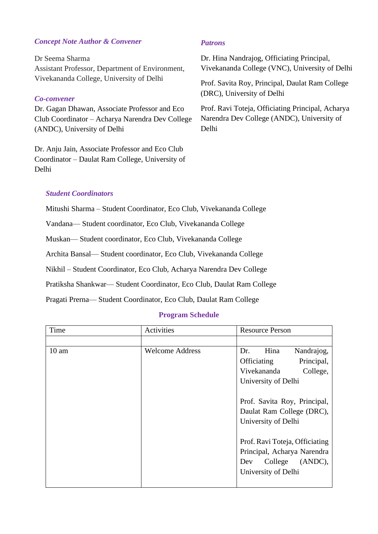# *Concept Note Author & Convener*

- Assistant Professor, Department of Environment, Dr Seema Sharma Vivekananda College, University of Delhi

### *Co-convener*

Dr. Gagan Dhawan, Associate Professor and Eco Club Coordinator – Acharya Narendra Dev College (ANDC), University of Delhi

Dr. Anju Jain, Associate Professor and Eco Club Coordinator – Daulat Ram College, University of Delhi

### *Patrons*

Dr. Hina Nandrajog, Officiating Principal, Vivekananda College (VNC), University of Delhi

Prof. Savita Roy, Principal, Daulat Ram College (DRC), University of Delhi

Prof. Ravi Toteja, Officiating Principal, Acharya Narendra Dev College (ANDC), University of Delhi

# *Student Coordinators*

Mitushi Sharma – Student Coordinator, Eco Club, Vivekananda College

Vandana— Student coordinator, Eco Club, Vivekananda College

Muskan— Student coordinator, Eco Club, Vivekananda College

Archita Bansal— Student coordinator, Eco Club, Vivekananda College

Nikhil – Student Coordinator, Eco Club, Acharya Narendra Dev College

Pratiksha Shankwar— Student Coordinator, Eco Club, Daulat Ram College

Pragati Prerna— Student Coordinator, Eco Club, Daulat Ram College

#### **Program Schedule**

| Time             | Activities             | <b>Resource Person</b>         |
|------------------|------------------------|--------------------------------|
|                  |                        |                                |
| 10 <sub>am</sub> | <b>Welcome Address</b> | Hina<br>Nandrajog,<br>Dr.      |
|                  |                        | Principal,<br>Officiating      |
|                  |                        | Vivekananda<br>College,        |
|                  |                        | University of Delhi            |
|                  |                        |                                |
|                  |                        | Prof. Savita Roy, Principal,   |
|                  |                        | Daulat Ram College (DRC),      |
|                  |                        | University of Delhi            |
|                  |                        |                                |
|                  |                        | Prof. Ravi Toteja, Officiating |
|                  |                        | Principal, Acharya Narendra    |
|                  |                        | (ANDC),<br>College<br>Dev      |
|                  |                        | University of Delhi            |
|                  |                        |                                |
|                  |                        |                                |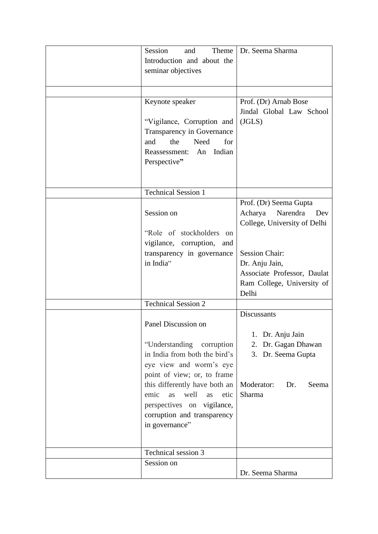| Session<br>and<br>Introduction and about the<br>seminar objectives<br>Keynote speaker<br>"Vigilance, Corruption and<br>Transparency in Governance<br>the<br>Need<br>and<br>for<br>Indian<br>Reassessment:<br>An<br>Perspective"                                                                  | Theme   Dr. Seema Sharma<br>Prof. (Dr) Arnab Bose<br>Jindal Global Law School<br>(JGLS)                                    |
|--------------------------------------------------------------------------------------------------------------------------------------------------------------------------------------------------------------------------------------------------------------------------------------------------|----------------------------------------------------------------------------------------------------------------------------|
| <b>Technical Session 1</b>                                                                                                                                                                                                                                                                       |                                                                                                                            |
| Session on                                                                                                                                                                                                                                                                                       | Prof. (Dr) Seema Gupta<br>Acharya<br>Narendra<br>Dev<br>College, University of Delhi                                       |
| "Role of stockholders on<br>vigilance, corruption, and<br>transparency in governance<br>in India"                                                                                                                                                                                                | <b>Session Chair:</b><br>Dr. Anju Jain,<br>Associate Professor, Daulat<br>Ram College, University of<br>Delhi              |
| <b>Technical Session 2</b>                                                                                                                                                                                                                                                                       |                                                                                                                            |
| Panel Discussion on<br>"Understanding corruption"<br>in India from both the bird's<br>eye view and worm's eye<br>point of view; or, to frame<br>this differently have both an<br>emic<br>well<br>as<br>as<br>etic<br>perspectives on vigilance,<br>corruption and transparency<br>in governance" | Discussants<br>Dr. Anju Jain<br>1.<br>Dr. Gagan Dhawan<br>2.<br>3. Dr. Seema Gupta<br>Moderator:<br>Dr.<br>Seema<br>Sharma |
| Technical session 3                                                                                                                                                                                                                                                                              |                                                                                                                            |
| Session on                                                                                                                                                                                                                                                                                       | Dr. Seema Sharma                                                                                                           |